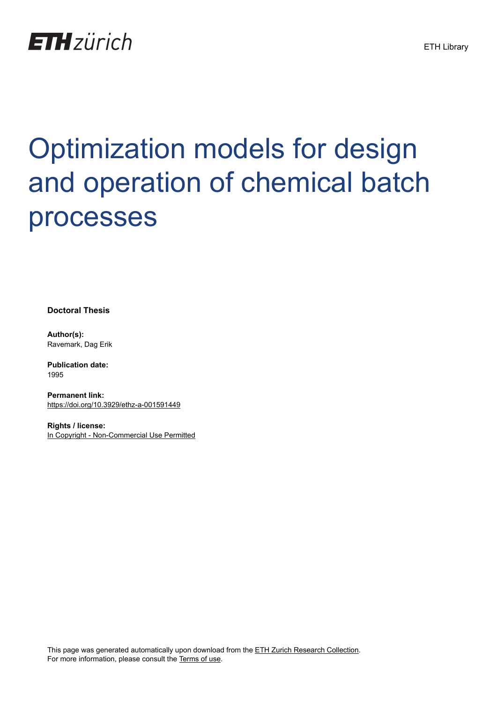

# Optimization models for design and operation of chemical batch processes

**Doctoral Thesis**

**Author(s):** Ravemark, Dag Erik

**Publication date:** 1995

**Permanent link:** <https://doi.org/10.3929/ethz-a-001591449>

**Rights / license:** [In Copyright - Non-Commercial Use Permitted](http://rightsstatements.org/page/InC-NC/1.0/)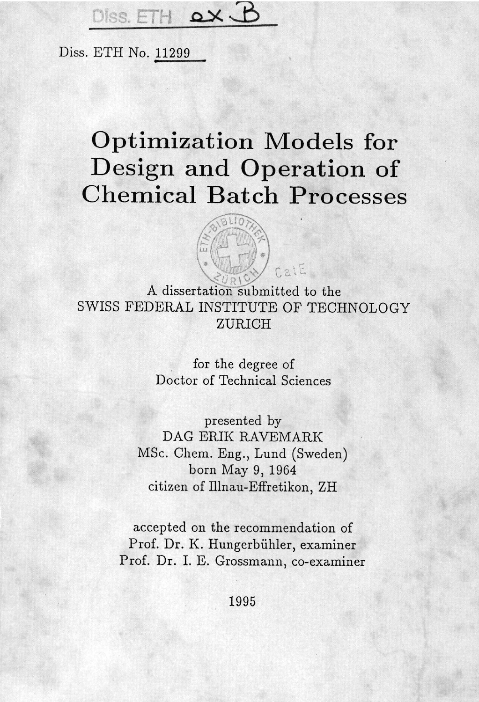#### $\chi$  iss. FTH

Diss. ETH No. <sup>11299</sup>

### Optimization Models for Design and Operation of Chemical Batch Processes



A dissertation submitted to the SWISS FEDERAL INSTITUTE OF TECHNOLOGY ZURICH

> for the degree of Doctor of Technical Sciences

presented by DAG ERIK RAVEMARK MSc. Chem. Eng., Lund (Sweden) born May 9, 1964 citizen of Hlnau-Effretikon, ZH

accepted on the recommendation of Prof. Dr. K. Hungerbiihler, examiner Prof. Dr. I. E. Grossmann, co-examiner

1995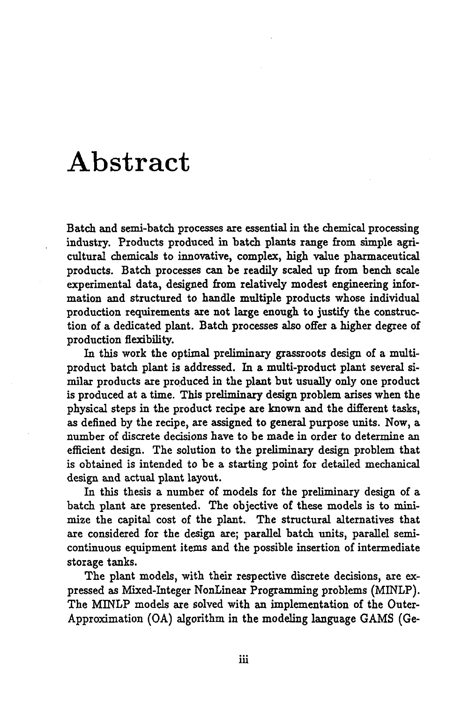## Abstract

Batch and semi-batch processes are essential in the chemical processing industry. Products produced in batch plants range from simple agricultural chemicals to innovative, complex, high value pharmaceutical products. Batch processes can be readily scaled up from bench scale experimental data, designed from relatively modest engineering information and structured to handle multiple products whose individual production requirements are not large enough to justify the construction of a dedicated plant. Batch processes also offer a higher degree of production flexibility.

In this work the optimal preliminary grassroots design of a multiproduct batch plant is addressed. In a multi-product plant several similar products are produced in the plant but usually only one product is produced at a time. This preliminary design problem arises when the physical steps in the product recipe are known and the different tasks, as defined by the recipe, are assigned to general purpose units. Now, a number of discrete decisions have to be made in order to determine an efficient design. The solution to the preliminary design problem that is obtained is intended to be a starting point for detailed mechanical design and actual plant layout.

In this thesis a number of models for the preliminary design of a batch plant are presented. The objective of these models is to minimize the capital cost of the plant. The structural alternatives that are considered for the design are; parallel batch units, parallel semicontinuous equipment items and the possible insertion of intermediate storage tanks.

The plant models, with their respective discrete decisions, are expressed as Mixed-Integer NonLinear Programming problems (MINLP). The MINLP models are solved with an implementation of the Outer-Approximation (OA) algorithm in the modeling language GAMS (Ge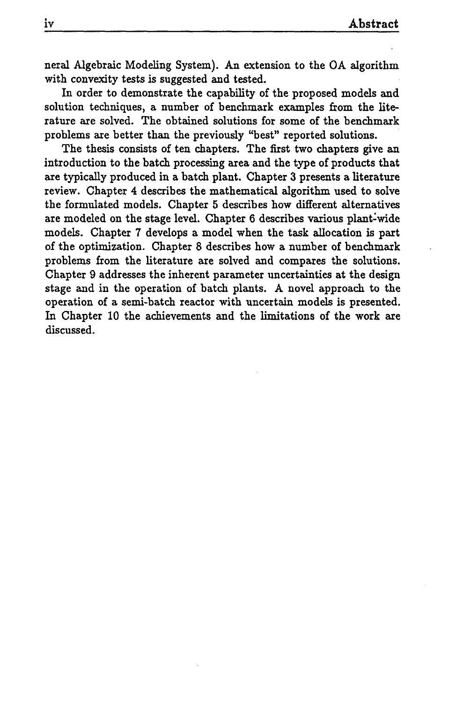neral Algebraic Modeling System). An extension to the OA algorithm with convexity tests is suggested and tested.

In order to demonstrate the capability of the proposed models and solution techniques, a number of benchmark examples from the literature are solved. The obtained solutions for some of the benchmark problems are better than the previously "best" reported solutions.

The thesis consists of ten chapters. The first two chapters give an introduction to the batch processing area and the type of products that are typically produced in a batch plant. Chapter 3 presents a literature review. Chapter 4 describes the mathematical algorithm used to solve the formulated models. Chapter <sup>5</sup> describes how different alternatives are modeled on the stage level. Chapter 6 describes various plant-wide models. Chapter 7 develops a model when the task allocation is part of the optimization. Chapter 8 describes how a number of benchmark problems from the literature are solved and compares the solutions. Chapter 9 addresses the inherent parameter uncertainties at the design stage and in the operation of batch plants. A novel approach to the operation of a semi-batch reactor with uncertain models is presented. In Chapter 10 the achievements and the limitations of the work are discussed.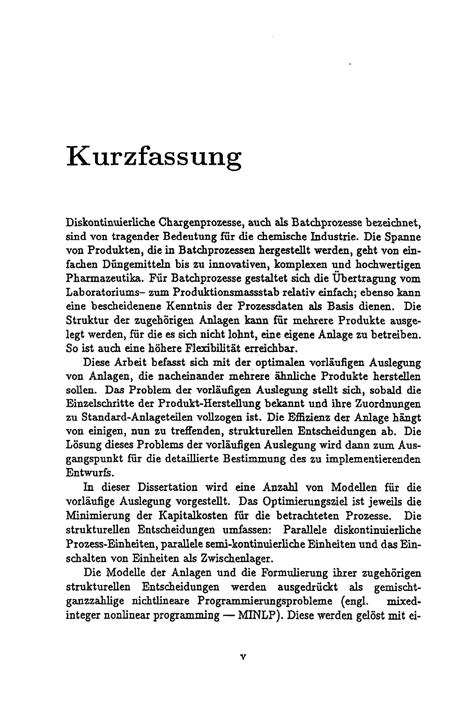## Kurzfassung

Diskontinuierliche Chargenprozesse, auch als Batcbprozesse bezeichnet, sind von tragender Bedeutung fiir die chemische Industrie. Die Spanne von Produkten, die in Batchprozessen hergestellt werden, geht von einfachen Dungemitteln bis zu innovativen, komplexen und hochwertigen Pharmazeutika. Fiir Batchprozesse gestaltet sich die Ubertragung vom Laboratoriums- zum Produktionsmassstab relativ einfach; ebenso kann eine bescheidenene Kenntnis der Prozessdaten als Basis dienen. Die Struktur der zugehörigen Anlagen kann für mehrere Produkte ausgelegt werden, fiir die es sich nicht lohnt, eine eigene Anlage zu betreiben. So ist auch eine hohere Flexibilitat erreichbar.

Diese Arbeit befasst sich mit der optimalen vorlaufigen Auslegung von Anlagen, die nacheinander mehrere ähnliche Produkte herstellen sollen. Das Problem der vorlaufigen Auslegung stellt sich, sobald die Einzelschritte der Produkt-Herstellung bekannt und ihre Zuordnungen zu Standard-Anlageteilen vollzogen ist. Die Effizienz der Anlage hängt von einigen, nun zu treffenden, strukturellen Entscheidungen ab. Die Lösung dieses Problems der vorläufigen Auslegung wird dann zum Ausgangspunkt fiir die detaillierte Bestimmung des zu implementierenden Entwurfs.

In dieser Dissertation wird eine Anzahl von Modellen fiir die vorläufige Auslegung vorgestellt. Das Optimierungsziel ist jeweils die Minimierung der Kapitalkosten fiir die betrachteten Prozesse. Die strukturellen Entscheidungen umfassen: Parallde diskontinuierliche Prozess-Einheiten, parallele semi-kontinuierliche Einheiten und das Einschalten von Einheiten als Zwischenlager.

Die Modelle der Anlagen und die Formulierung ihrer zugehörigen strukturellen Entscheidungen werden ausgedriickt als gemischtganzzahlige nichtlineare Programmierungsprobleme (engl. mixedganzzannge mchumeare rrogrammierungsprobleme (engl. mixed-<br>integer nonlinear programming — MINLP). Diese werden gelöst mit ei